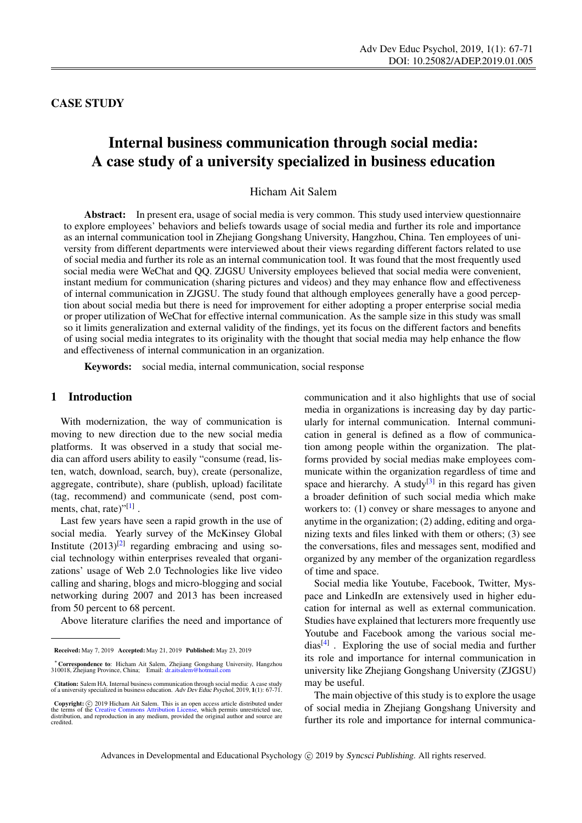# CASE STUDY

# Internal business communication through social media: A case study of a university specialized in business education

Hicham Ait Salem

Abstract: In present era, usage of social media is very common. This study used interview questionnaire to explore employees' behaviors and beliefs towards usage of social media and further its role and importance as an internal communication tool in Zhejiang Gongshang University, Hangzhou, China. Ten employees of university from different departments were interviewed about their views regarding different factors related to use of social media and further its role as an internal communication tool. It was found that the most frequently used social media were WeChat and QQ. ZJGSU University employees believed that social media were convenient, instant medium for communication (sharing pictures and videos) and they may enhance flow and effectiveness of internal communication in ZJGSU. The study found that although employees generally have a good perception about social media but there is need for improvement for either adopting a proper enterprise social media or proper utilization of WeChat for effective internal communication. As the sample size in this study was small so it limits generalization and external validity of the findings, yet its focus on the different factors and benefits of using social media integrates to its originality with the thought that social media may help enhance the flow and effectiveness of internal communication in an organization.

Keywords: social media, internal communication, social response

#### 1 Introduction

With modernization, the way of communication is moving to new direction due to the new social media platforms. It was observed in a study that social media can afford users ability to easily "consume (read, listen, watch, download, search, buy), create (personalize, aggregate, contribute), share (publish, upload) facilitate (tag, recommend) and communicate (send, post com-ments, chat, rate)"<sup>[\[1\]](#page-3-0)</sup>.

Last few years have seen a rapid growth in the use of social media. Yearly survey of the McKinsey Global Institute  $(2013)^{[2]}$  $(2013)^{[2]}$  $(2013)^{[2]}$  regarding embracing and using social technology within enterprises revealed that organizations' usage of Web 2.0 Technologies like live video calling and sharing, blogs and micro-blogging and social networking during 2007 and 2013 has been increased from 50 percent to 68 percent.

Above literature clarifies the need and importance of

communication and it also highlights that use of social media in organizations is increasing day by day particularly for internal communication. Internal communication in general is defined as a flow of communication among people within the organization. The platforms provided by social medias make employees communicate within the organization regardless of time and space and hierarchy. A study $[3]$  in this regard has given a broader definition of such social media which make workers to: (1) convey or share messages to anyone and anytime in the organization; (2) adding, editing and organizing texts and files linked with them or others; (3) see the conversations, files and messages sent, modified and organized by any member of the organization regardless of time and space.

Social media like Youtube, Facebook, Twitter, Myspace and LinkedIn are extensively used in higher education for internal as well as external communication. Studies have explained that lecturers more frequently use Youtube and Facebook among the various social me-dias<sup>[\[4\]](#page-3-3)</sup>. Exploring the use of social media and further its role and importance for internal communication in university like Zhejiang Gongshang University (ZJGSU) may be useful.

The main objective of this study is to explore the usage of social media in Zhejiang Gongshang University and further its role and importance for internal communica-

Received: May 7, 2019 Accepted: May 21, 2019 Published: May 23, 2019

<sup>∗</sup>Correspondence to: Hicham Ait Salem, Zhejiang Gongshang University, Hangzhou 310018, Zhejiang Province, China; Email: <dr.aitsalem@hotmail.com>

Citation: Salem HA. Internal business communication through social media: A case study of a university specialized in business education. Adv Dev Educ Psychol, 2019, 1(1): 67-71.

Copyright: © 2019 Hicham Ait Salem. This is an open access article distributed under<br>the terms of the [Creative Commons Attribution License,](https://creativecommons.org/licenses/by/4.0/) which permits unrestricted use,<br>distribution, and reproduction in any medium, prov credited.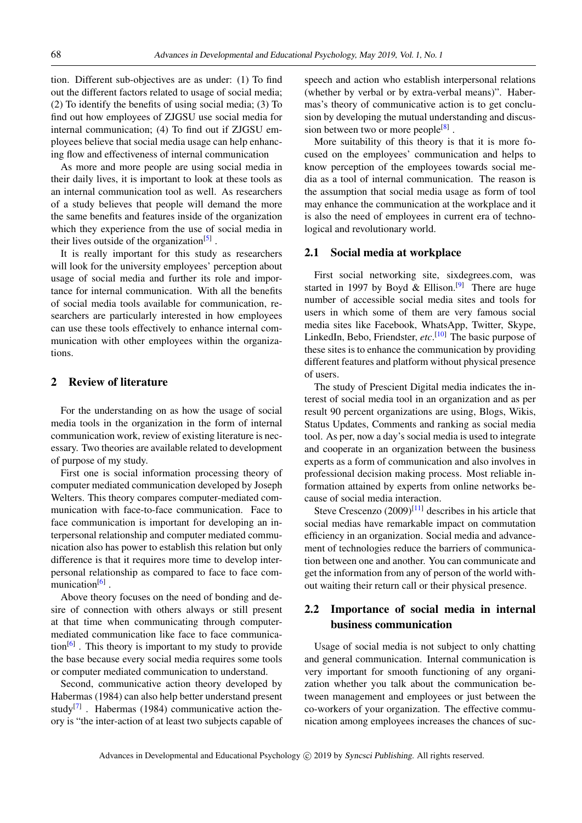tion. Different sub-objectives are as under: (1) To find out the different factors related to usage of social media; (2) To identify the benefits of using social media; (3) To find out how employees of ZJGSU use social media for internal communication; (4) To find out if ZJGSU employees believe that social media usage can help enhancing flow and effectiveness of internal communication

As more and more people are using social media in their daily lives, it is important to look at these tools as an internal communication tool as well. As researchers of a study believes that people will demand the more the same benefits and features inside of the organization which they experience from the use of social media in their lives outside of the organization<sup>[\[5\]](#page-3-4)</sup>.

It is really important for this study as researchers will look for the university employees' perception about usage of social media and further its role and importance for internal communication. With all the benefits of social media tools available for communication, researchers are particularly interested in how employees can use these tools effectively to enhance internal communication with other employees within the organizations.

### 2 Review of literature

For the understanding on as how the usage of social media tools in the organization in the form of internal communication work, review of existing literature is necessary. Two theories are available related to development of purpose of my study.

First one is social information processing theory of computer mediated communication developed by Joseph Welters. This theory compares computer-mediated communication with face-to-face communication. Face to face communication is important for developing an interpersonal relationship and computer mediated communication also has power to establish this relation but only difference is that it requires more time to develop interpersonal relationship as compared to face to face com-munication<sup>[\[6\]](#page-4-0)</sup>.

Above theory focuses on the need of bonding and desire of connection with others always or still present at that time when communicating through computermediated communication like face to face communica-tion<sup>[\[6\]](#page-4-0)</sup>. This theory is important to my study to provide the base because every social media requires some tools or computer mediated communication to understand.

Second, communicative action theory developed by Habermas (1984) can also help better understand present study<sup>[\[7\]](#page-4-1)</sup>. Habermas (1984) communicative action theory is "the inter-action of at least two subjects capable of speech and action who establish interpersonal relations (whether by verbal or by extra-verbal means)". Habermas's theory of communicative action is to get conclusion by developing the mutual understanding and discus-sion between two or more people<sup>[\[8\]](#page-4-2)</sup>.

More suitability of this theory is that it is more focused on the employees' communication and helps to know perception of the employees towards social media as a tool of internal communication. The reason is the assumption that social media usage as form of tool may enhance the communication at the workplace and it is also the need of employees in current era of technological and revolutionary world.

#### 2.1 Social media at workplace

First social networking site, sixdegrees.com, was started in 1997 by Boyd & Ellison.<sup>[\[9\]](#page-4-3)</sup> There are huge number of accessible social media sites and tools for users in which some of them are very famous social media sites like Facebook, WhatsApp, Twitter, Skype, LinkedIn, Bebo, Friendster, *etc*. [\[10\]](#page-4-4) The basic purpose of these sites is to enhance the communication by providing different features and platform without physical presence of users.

The study of Prescient Digital media indicates the interest of social media tool in an organization and as per result 90 percent organizations are using, Blogs, Wikis, Status Updates, Comments and ranking as social media tool. As per, now a day's social media is used to integrate and cooperate in an organization between the business experts as a form of communication and also involves in professional decision making process. Most reliable information attained by experts from online networks because of social media interaction.

Steve Crescenzo  $(2009)^{[11]}$  $(2009)^{[11]}$  $(2009)^{[11]}$  describes in his article that social medias have remarkable impact on commutation efficiency in an organization. Social media and advancement of technologies reduce the barriers of communication between one and another. You can communicate and get the information from any of person of the world without waiting their return call or their physical presence.

## 2.2 Importance of social media in internal business communication

Usage of social media is not subject to only chatting and general communication. Internal communication is very important for smooth functioning of any organization whether you talk about the communication between management and employees or just between the co-workers of your organization. The effective communication among employees increases the chances of suc-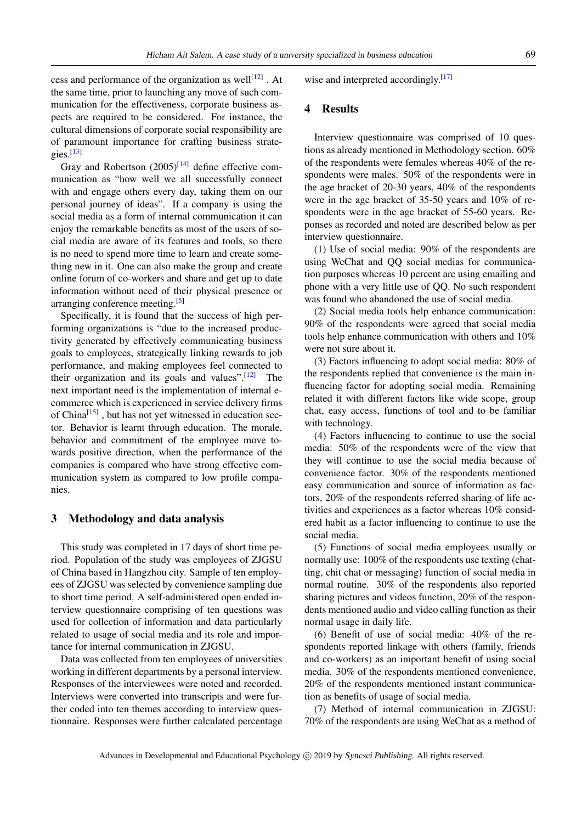cess and performance of the organization as well $[12]$ . At the same time, prior to launching any move of such communication for the effectiveness, corporate business aspects are required to be considered. For instance, the cultural dimensions of corporate social responsibility are of paramount importance for crafting business strategies. $[13]$ 

Gray and Robertson  $(2005)^{[14]}$  $(2005)^{[14]}$  $(2005)^{[14]}$  define effective communication as "how well we all successfully connect with and engage others every day, taking them on our personal journey of ideas". If a company is using the social media as a form of internal communication it can enjoy the remarkable benefits as most of the users of social media are aware of its features and tools, so there is no need to spend more time to learn and create something new in it. One can also make the group and create online forum of co-workers and share and get up to date information without need of their physical presence or arranging conference meeting.[\[5\]](#page-3-4)

Specifically, it is found that the success of high performing organizations is "due to the increased productivity generated by effectively communicating business goals to employees, strategically linking rewards to job performance, and making employees feel connected to their organization and its goals and values". $[12]$  The next important need is the implementation of internal ecommerce which is experienced in service delivery firms of China<sup>[\[15\]](#page-4-9)</sup>, but has not yet witnessed in education sector. Behavior is learnt through education. The morale, behavior and commitment of the employee move towards positive direction, when the performance of the companies is compared who have strong effective communication system as compared to low profile companies.

## 3 Methodology and data analysis

This study was completed in 17 days of short time period. Population of the study was employees of ZJGSU of China based in Hangzhou city. Sample of ten employees of ZJGSU was selected by convenience sampling due to short time period. A self-administered open ended interview questionnaire comprising of ten questions was used for collection of information and data particularly related to usage of social media and its role and importance for internal communication in ZJGSU.

Data was collected from ten employees of universities working in different departments by a personal interview. Responses of the interviewees were noted and recorded. Interviews were converted into transcripts and were further coded into ten themes according to interview questionnaire. Responses were further calculated percentage wise and interpreted accordingly.<sup>[\[17\]](#page-4-10)</sup>

#### 4 Results

Interview questionnaire was comprised of 10 questions as already mentioned in Methodology section. 60% of the respondents were females whereas 40% of the respondents were males. 50% of the respondents were in the age bracket of 20-30 years, 40% of the respondents were in the age bracket of 35-50 years and 10% of respondents were in the age bracket of 55-60 years. Reponses as recorded and noted are described below as per interview questionnaire.

(1) Use of social media: 90% of the respondents are using WeChat and QQ social medias for communication purposes whereas 10 percent are using emailing and phone with a very little use of QQ. No such respondent was found who abandoned the use of social media.

(2) Social media tools help enhance communication: 90% of the respondents were agreed that social media tools help enhance communication with others and 10% were not sure about it.

(3) Factors influencing to adopt social media: 80% of the respondents replied that convenience is the main influencing factor for adopting social media. Remaining related it with different factors like wide scope, group chat, easy access, functions of tool and to be familiar with technology.

(4) Factors influencing to continue to use the social media: 50% of the respondents were of the view that they will continue to use the social media because of convenience factor. 30% of the respondents mentioned easy communication and source of information as factors, 20% of the respondents referred sharing of life activities and experiences as a factor whereas 10% considered habit as a factor influencing to continue to use the social media.

(5) Functions of social media employees usually or normally use: 100% of the respondents use texting (chatting, chit chat or messaging) function of social media in normal routine. 30% of the respondents also reported sharing pictures and videos function, 20% of the respondents mentioned audio and video calling function as their normal usage in daily life.

(6) Benefit of use of social media: 40% of the respondents reported linkage with others (family, friends and co-workers) as an important benefit of using social media. 30% of the respondents mentioned convenience, 20% of the respondents mentioned instant communication as benefits of usage of social media.

(7) Method of internal communication in ZJGSU: 70% of the respondents are using WeChat as a method of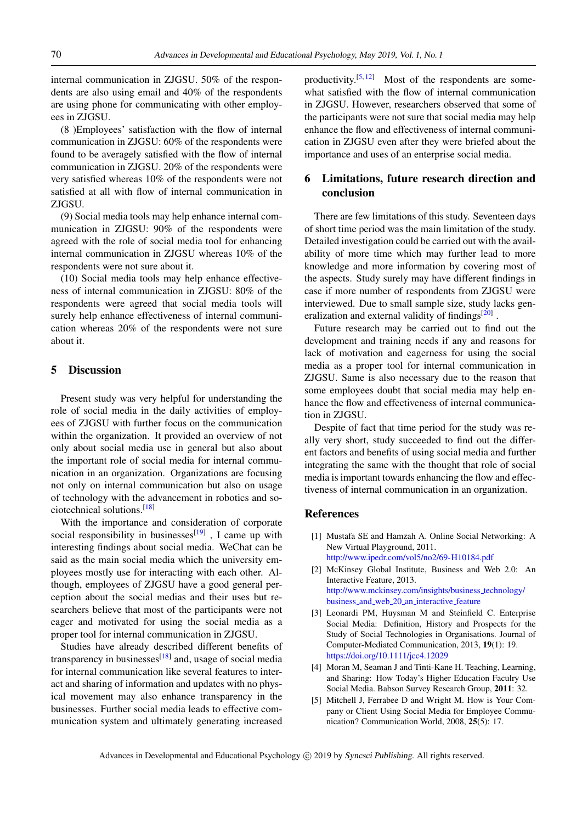internal communication in ZJGSU. 50% of the respondents are also using email and 40% of the respondents are using phone for communicating with other employees in ZJGSU.

(8 )Employees' satisfaction with the flow of internal communication in ZJGSU: 60% of the respondents were found to be averagely satisfied with the flow of internal communication in ZJGSU. 20% of the respondents were very satisfied whereas 10% of the respondents were not satisfied at all with flow of internal communication in ZJGSU.

(9) Social media tools may help enhance internal communication in ZJGSU: 90% of the respondents were agreed with the role of social media tool for enhancing internal communication in ZJGSU whereas 10% of the respondents were not sure about it.

(10) Social media tools may help enhance effectiveness of internal communication in ZJGSU: 80% of the respondents were agreed that social media tools will surely help enhance effectiveness of internal communication whereas 20% of the respondents were not sure about it.

#### 5 Discussion

Present study was very helpful for understanding the role of social media in the daily activities of employees of ZJGSU with further focus on the communication within the organization. It provided an overview of not only about social media use in general but also about the important role of social media for internal communication in an organization. Organizations are focusing not only on internal communication but also on usage of technology with the advancement in robotics and sociotechnical solutions.[\[18\]](#page-4-11)

With the importance and consideration of corporate social responsibility in businesses $[19]$ , I came up with interesting findings about social media. WeChat can be said as the main social media which the university employees mostly use for interacting with each other. Although, employees of ZJGSU have a good general perception about the social medias and their uses but researchers believe that most of the participants were not eager and motivated for using the social media as a proper tool for internal communication in ZJGSU.

Studies have already described different benefits of transparency in businesses<sup>[\[18\]](#page-4-11)</sup> and, usage of social media for internal communication like several features to interact and sharing of information and updates with no physical movement may also enhance transparency in the businesses. Further social media leads to effective communication system and ultimately generating increased

productivity.<sup>[\[5,](#page-3-4) [12\]](#page-4-6)</sup> Most of the respondents are somewhat satisfied with the flow of internal communication in ZJGSU. However, researchers observed that some of the participants were not sure that social media may help enhance the flow and effectiveness of internal communication in ZJGSU even after they were briefed about the importance and uses of an enterprise social media.

## 6 Limitations, future research direction and conclusion

There are few limitations of this study. Seventeen days of short time period was the main limitation of the study. Detailed investigation could be carried out with the availability of more time which may further lead to more knowledge and more information by covering most of the aspects. Study surely may have different findings in case if more number of respondents from ZJGSU were interviewed. Due to small sample size, study lacks gen-eralization and external validity of findings<sup>[\[20\]](#page-4-13)</sup>.

Future research may be carried out to find out the development and training needs if any and reasons for lack of motivation and eagerness for using the social media as a proper tool for internal communication in ZJGSU. Same is also necessary due to the reason that some employees doubt that social media may help enhance the flow and effectiveness of internal communication in ZJGSU.

Despite of fact that time period for the study was really very short, study succeeded to find out the different factors and benefits of using social media and further integrating the same with the thought that role of social media is important towards enhancing the flow and effectiveness of internal communication in an organization.

#### References

- <span id="page-3-0"></span>[1] Mustafa SE and Hamzah A. Online Social Networking: A New Virtual Playground, 2011. <http://www.ipedr.com/vol5/no2/69-H10184.pdf>
- <span id="page-3-1"></span>[2] McKinsey Global Institute, Business and Web 2.0: An Interactive Feature, 2013. [http://www.mckinsey.com/insights/business](http://www.mckinsey.com/insights/business_technology/business_and_web_20_an_interactive_feature) technology/ business and web 20 an [interactive](http://www.mckinsey.com/insights/business_technology/business_and_web_20_an_interactive_feature) feature
- <span id="page-3-2"></span>[3] Leonardi PM, Huysman M and Steinfield C. Enterprise Social Media: Definition, History and Prospects for the Study of Social Technologies in Organisations. Journal of Computer-Mediated Communication, 2013, 19(1): 19. <https://doi.org/10.1111/jcc4.12029>
- <span id="page-3-3"></span>[4] Moran M, Seaman J and Tinti-Kane H. Teaching, Learning, and Sharing: How Today's Higher Education Faculry Use Social Media. Babson Survey Research Group, 2011: 32.
- <span id="page-3-4"></span>[5] Mitchell J, Ferrabee D and Wright M. How is Your Company or Client Using Social Media for Employee Communication? Communication World, 2008, 25(5): 17.

Advances in Developmental and Educational Psychology (C) 2019 by Syncsci Publishing. All rights reserved.